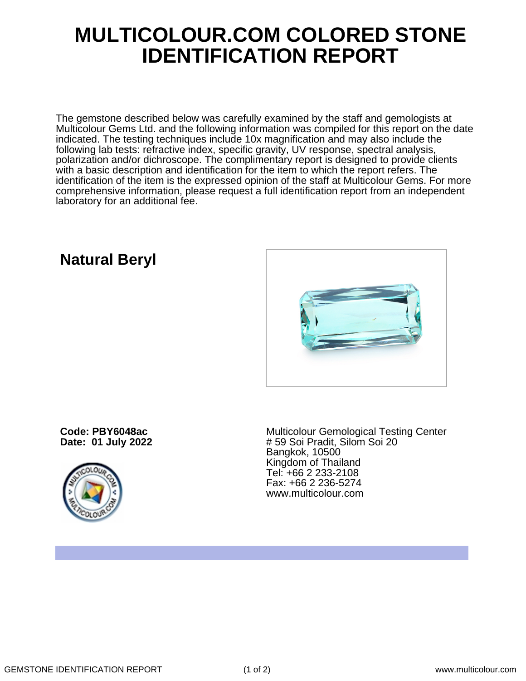## **MULTICOLOUR.COM COLORED STONE IDENTIFICATION REPORT**

The gemstone described below was carefully examined by the staff and gemologists at Multicolour Gems Ltd. and the following information was compiled for this report on the date indicated. The testing techniques include 10x magnification and may also include the following lab tests: refractive index, specific gravity, UV response, spectral analysis, polarization and/or dichroscope. The complimentary report is designed to provide clients with a basic description and identification for the item to which the report refers. The identification of the item is the expressed opinion of the staff at Multicolour Gems. For more comprehensive information, please request a full identification report from an independent laboratory for an additional fee.

## **Natural Beryl**



**Code: PBY6048ac Date: 01 July 2022**



Multicolour Gemological Testing Center # 59 Soi Pradit, Silom Soi 20 Bangkok, 10500 Kingdom of Thailand Tel: +66 2 233-2108 Fax: +66 2 236-5274 www.multicolour.com